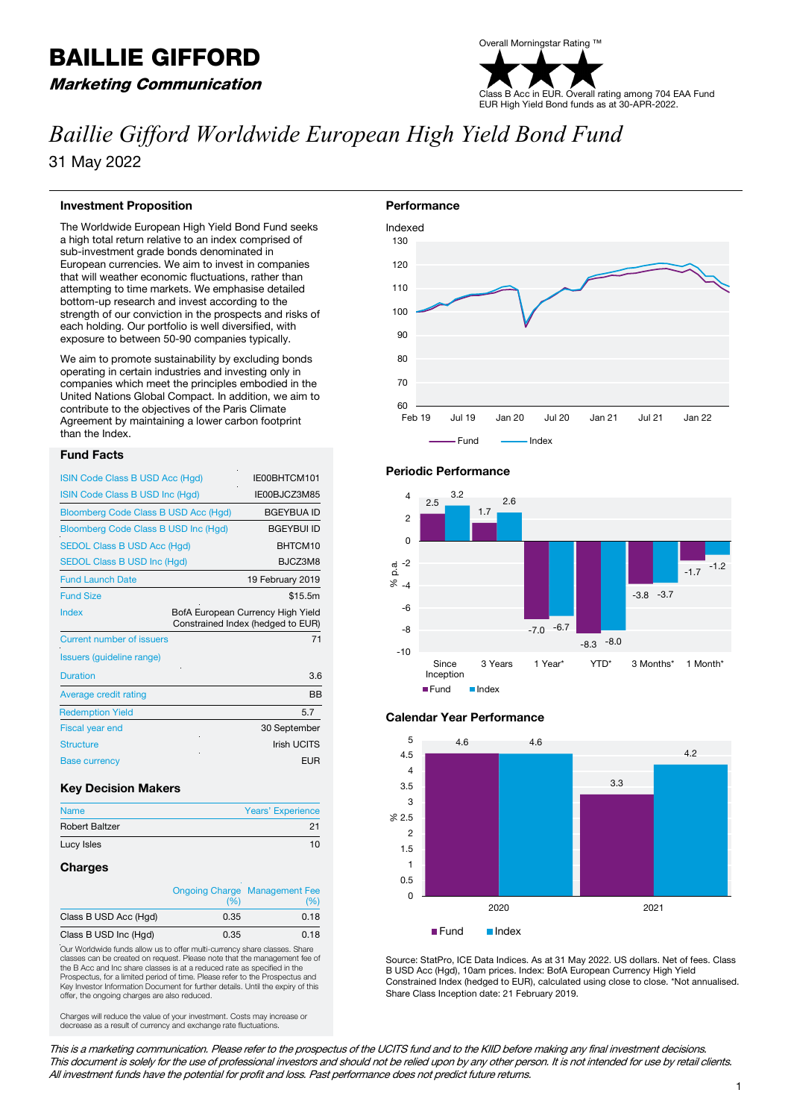# BAILLIE GIFFORD

Marketing Communication

### Overall Morningstar Rating ™ Class B Acc in EUR. Overall rating among 704 EAA Fund EUR High Yield Bond funds as at 30-APR-2022.

## *Baillie Gifford Worldwide European High Yield Bond Fund* 31 May 2022

#### **Investment Proposition**

The Worldwide European High Yield Bond Fund seeks a high total return relative to an index comprised of sub-investment grade bonds denominated in European currencies. We aim to invest in companies that will weather economic fluctuations, rather than attempting to time markets. We emphasise detailed bottom-up research and invest according to the strength of our conviction in the prospects and risks of each holding. Our portfolio is well diversified, with exposure to between 50-90 companies typically.

We aim to promote sustainability by excluding bonds operating in certain industries and investing only in companies which meet the principles embodied in the United Nations Global Compact. In addition, we aim to contribute to the objectives of the Paris Climate Agreement by maintaining a lower carbon footprint than the Index.

#### **Fund Facts**

| ISIN Code Class B USD Acc (Hgd)      | IE00BHTCM101                                                           |
|--------------------------------------|------------------------------------------------------------------------|
| ISIN Code Class B USD Inc (Hgd)      | IE00BJCZ3M85                                                           |
| Bloomberg Code Class B USD Acc (Hgd) | <b>BGEYBUA ID</b>                                                      |
| Bloomberg Code Class B USD Inc (Hgd) | <b>BGEYBUI ID</b>                                                      |
| <b>SEDOL Class B USD Acc (Hgd)</b>   | BHTCM10                                                                |
| <b>SEDOL Class B USD Inc (Hgd)</b>   | BJCZ3M8                                                                |
| <b>Fund Launch Date</b>              | 19 February 2019                                                       |
| <b>Fund Size</b>                     | \$15.5m                                                                |
| Index                                | BofA European Currency High Yield<br>Constrained Index (hedged to EUR) |
| Current number of issuers            | 71                                                                     |
| Issuers (guideline range)            |                                                                        |
| <b>Duration</b>                      | 3.6                                                                    |
| Average credit rating                | <b>BB</b>                                                              |
| <b>Redemption Yield</b>              | 5.7                                                                    |
| <b>Fiscal year end</b>               | 30 September                                                           |
| <b>Structure</b>                     | Irish UCITS                                                            |
| <b>Base currency</b>                 | <b>EUR</b>                                                             |

#### **Key Decision Makers**

| <b>Name</b>           | <b>Years' Experience</b> |
|-----------------------|--------------------------|
| <b>Robert Baltzer</b> | 21                       |
| Lucy Isles            | 10                       |
|                       |                          |

#### **Charges**

|                       | <b>Ongoing Charge Management Fee</b> |      |  |
|-----------------------|--------------------------------------|------|--|
|                       | (%)                                  | (% ) |  |
| Class B USD Acc (Hgd) | 0.35                                 | 0.18 |  |
| Class B USD Inc (Hgd) | 0.35                                 | 0.18 |  |

Our Worldwide funds allow us to offer multi-currency share classes. Share classes can be created on request. Please note that the management fee of the B Acc and Inc share classes is at a reduced rate as specified in the Prospectus, for a limited period of time. Please refer to the Prospectus and Key Investor Information Document for further details. Until the expiry of this offer, the ongoing charges are also reduced.

Charges will reduce the value of your investment. Costs may increase or decrease as a result of currency and exchange rate fluctuations.



#### **Periodic Performance**



#### **Calendar Year Performance**



Source: StatPro, ICE Data Indices. As at 31 May 2022. US dollars. Net of fees. Class B USD Acc (Hgd), 10am prices. Index: BofA European Currency High Yield Constrained Index (hedged to EUR), calculated using close to close. \*Not annualised. Share Class Inception date: 21 February 2019.

This is a marketing communication. Please refer to the prospectus of the UCITS fund and to the KIID before making any final investment decisions. This document is solely for the use of professional investors and should not be relied upon by any other person. It is not intended for use by retail clients. All investment funds have the potential for profit and loss. Past performance does not predict future returns.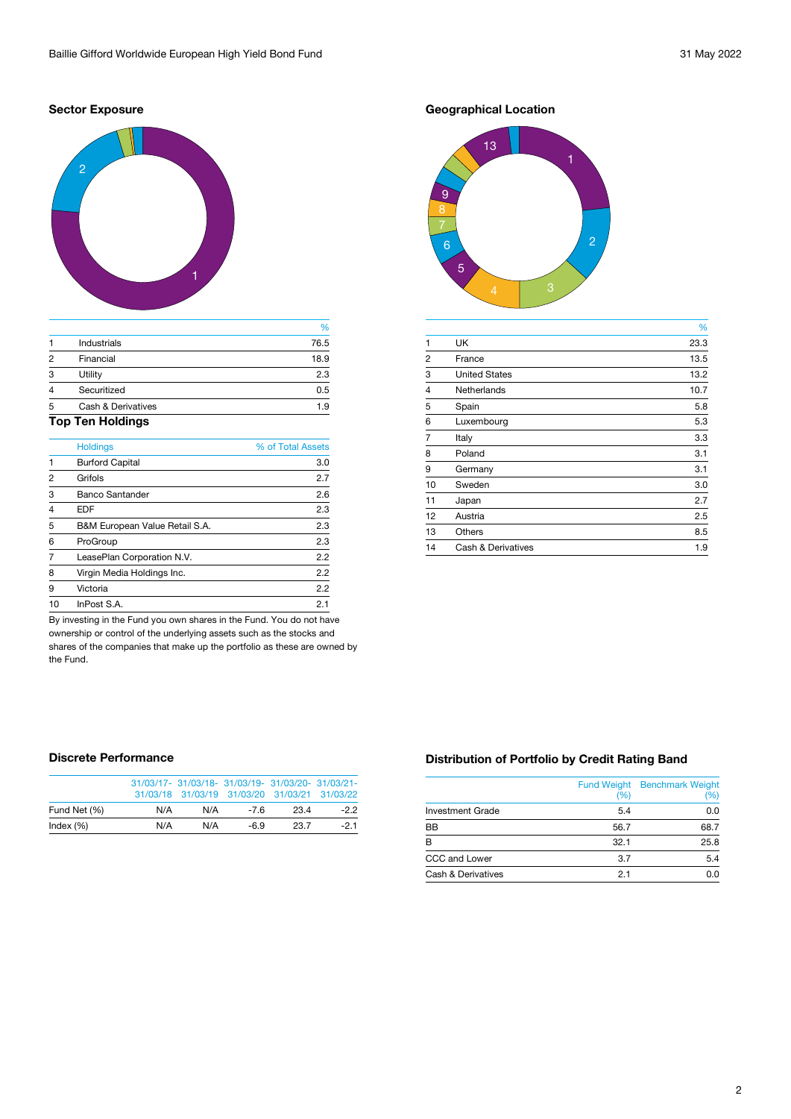#### **Sector Exposure**



|                |                               | %    |
|----------------|-------------------------------|------|
|                | <b>Industrials</b>            | 76.5 |
| $\mathfrak{p}$ | Financial                     | 18.9 |
| 3              | Utility                       | 2.3  |
| 4              | Securitized                   | 0.5  |
| 5              | <b>Cash &amp; Derivatives</b> | 1.9  |
|                | .                             |      |

### **Top Ten Holdings**

|                | <b>Holdings</b>                | % of Total Assets |
|----------------|--------------------------------|-------------------|
| $\overline{1}$ | <b>Burford Capital</b>         | 3.0               |
| 2              | Grifols                        | 2.7               |
| 3              | <b>Banco Santander</b>         | 2.6               |
| $\overline{4}$ | <b>EDF</b>                     | 2.3               |
| 5              | B&M European Value Retail S.A. | 2.3               |
| 6              | ProGroup                       | 2.3               |
|                | LeasePlan Corporation N.V.     | 2.2               |
| 8              | Virgin Media Holdings Inc.     | 2.2               |
| 9              | Victoria                       | 2.2               |
| 10             | InPost S.A.                    | 2.1               |

By investing in the Fund you own shares in the Fund. You do not have ownership or control of the underlying assets such as the stocks and shares of the companies that make up the portfolio as these are owned by the Fund.

# **Geographical Location**



|                |                               | %    |
|----------------|-------------------------------|------|
| 1              | <b>UK</b>                     | 23.3 |
| $\overline{2}$ | France                        | 13.5 |
| 3              | <b>United States</b>          | 13.2 |
| $\overline{4}$ | <b>Netherlands</b>            | 10.7 |
| 5              | Spain                         | 5.8  |
| 6              | Luxembourg                    | 5.3  |
| 7              | Italy                         | 3.3  |
| 8              | Poland                        | 3.1  |
| 9              | Germany                       | 3.1  |
| 10             | Sweden                        | 3.0  |
| 11             | Japan                         | 2.7  |
| 12             | Austria                       | 2.5  |
| 13             | <b>Others</b>                 | 8.5  |
| 14             | <b>Cash &amp; Derivatives</b> | 1.9  |
|                |                               |      |

#### **Discrete Performance**

|              |     |     | 31/03/17- 31/03/18- 31/03/19- 31/03/20- 31/03/21-<br>31/03/18 31/03/19 31/03/20 31/03/21 31/03/22 |      |       |
|--------------|-----|-----|---------------------------------------------------------------------------------------------------|------|-------|
| Fund Net (%) | N/A | N/A | $-76$                                                                                             | 23.4 | $-22$ |
| Index $(\%)$ | N/A | N/A | $-6.9$                                                                                            | 23.7 | $-21$ |

#### **Distribution of Portfolio by Credit Rating Band**

|                               | <b>Fund Weight</b><br>(%) | <b>Benchmark Weight</b><br>(%) |
|-------------------------------|---------------------------|--------------------------------|
| <b>Investment Grade</b>       | 5.4                       | 0.0                            |
| <b>BB</b>                     | 56.7                      | 68.7                           |
| R                             | 32.1                      | 25.8                           |
| CCC and Lower                 | 3.7                       | 5.4                            |
| <b>Cash &amp; Derivatives</b> | 2.1                       | 0.0                            |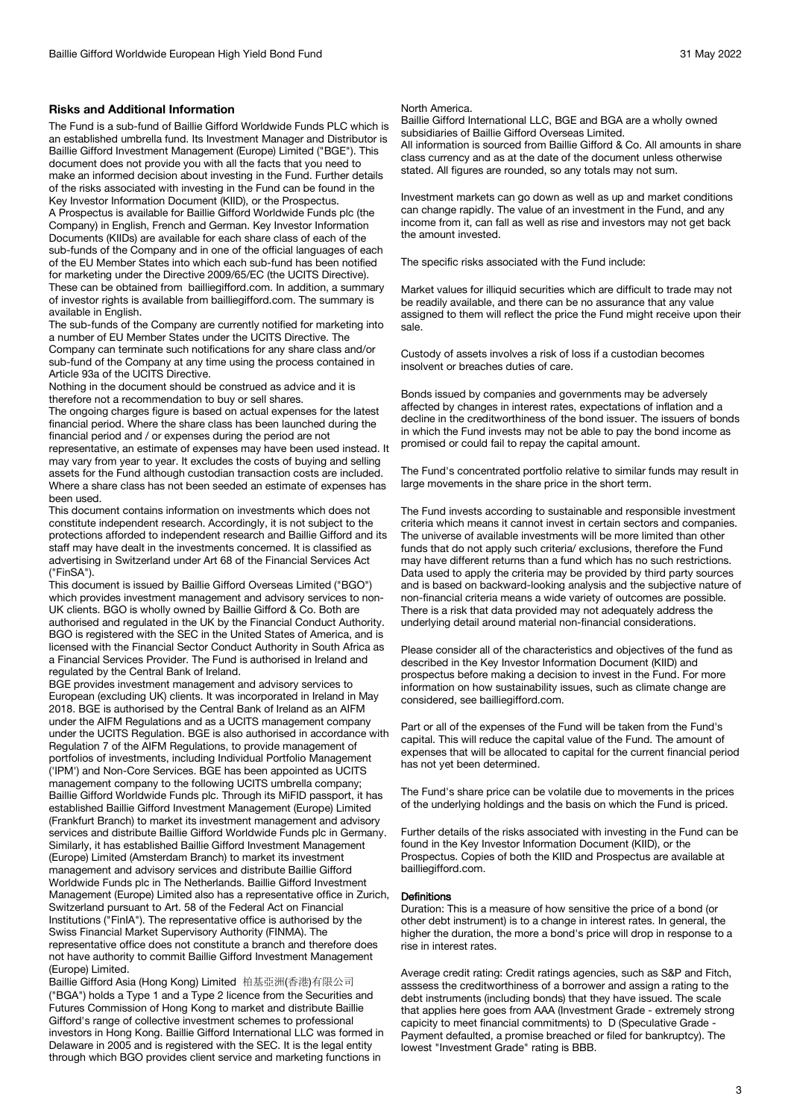#### **Risks and Additional Information**

The Fund is a sub-fund of Baillie Gifford Worldwide Funds PLC which is an established umbrella fund. Its Investment Manager and Distributor is Baillie Gifford Investment Management (Europe) Limited ("BGE"). This document does not provide you with all the facts that you need to make an informed decision about investing in the Fund. Further details of the risks associated with investing in the Fund can be found in the Key Investor Information Document (KIID), or the Prospectus.

A Prospectus is available for Baillie Gifford Worldwide Funds plc (the Company) in English, French and German. Key Investor Information Documents (KIIDs) are available for each share class of each of the sub-funds of the Company and in one of the official languages of each of the EU Member States into which each sub-fund has been notified for marketing under the Directive 2009/65/EC (the UCITS Directive). These can be obtained from bailliegifford.com. In addition, a summary of investor rights is available from bailliegifford.com. The summary is available in English.

The sub-funds of the Company are currently notified for marketing into a number of EU Member States under the UCITS Directive. The Company can terminate such notifications for any share class and/or sub-fund of the Company at any time using the process contained in Article 93a of the UCITS Directive.

Nothing in the document should be construed as advice and it is therefore not a recommendation to buy or sell shares.

The ongoing charges figure is based on actual expenses for the latest financial period. Where the share class has been launched during the financial period and / or expenses during the period are not representative, an estimate of expenses may have been used instead. It may vary from year to year. It excludes the costs of buying and selling assets for the Fund although custodian transaction costs are included. Where a share class has not been seeded an estimate of expenses has been used.

This document contains information on investments which does not constitute independent research. Accordingly, it is not subject to the protections afforded to independent research and Baillie Gifford and its staff may have dealt in the investments concerned. It is classified as advertising in Switzerland under Art 68 of the Financial Services Act ("FinSA").

This document is issued by Baillie Gifford Overseas Limited ("BGO") which provides investment management and advisory services to non-UK clients. BGO is wholly owned by Baillie Gifford & Co. Both are authorised and regulated in the UK by the Financial Conduct Authority. BGO is registered with the SEC in the United States of America, and is licensed with the Financial Sector Conduct Authority in South Africa as a Financial Services Provider. The Fund is authorised in Ireland and regulated by the Central Bank of Ireland.

BGE provides investment management and advisory services to European (excluding UK) clients. It was incorporated in Ireland in May 2018. BGE is authorised by the Central Bank of Ireland as an AIFM under the AIFM Regulations and as a UCITS management company under the UCITS Regulation. BGE is also authorised in accordance with Regulation 7 of the AIFM Regulations, to provide management of portfolios of investments, including Individual Portfolio Management ('IPM') and Non-Core Services. BGE has been appointed as UCITS management company to the following UCITS umbrella company; Baillie Gifford Worldwide Funds plc. Through its MiFID passport, it has established Baillie Gifford Investment Management (Europe) Limited (Frankfurt Branch) to market its investment management and advisory services and distribute Baillie Gifford Worldwide Funds plc in Germany. Similarly, it has established Baillie Gifford Investment Management (Europe) Limited (Amsterdam Branch) to market its investment management and advisory services and distribute Baillie Gifford Worldwide Funds plc in The Netherlands. Baillie Gifford Investment Management (Europe) Limited also has a representative office in Zurich, Switzerland pursuant to Art. 58 of the Federal Act on Financial Institutions ("FinIA"). The representative office is authorised by the Swiss Financial Market Supervisory Authority (FINMA). The representative office does not constitute a branch and therefore does not have authority to commit Baillie Gifford Investment Management (Europe) Limited.

Baillie Gifford Asia (Hong Kong) Limited 柏基亞洲(香港)有限公司 ("BGA") holds a Type 1 and a Type 2 licence from the Securities and Futures Commission of Hong Kong to market and distribute Baillie Gifford's range of collective investment schemes to professional investors in Hong Kong. Baillie Gifford International LLC was formed in Delaware in 2005 and is registered with the SEC. It is the legal entity through which BGO provides client service and marketing functions in

#### North America.

Baillie Gifford International LLC, BGE and BGA are a wholly owned subsidiaries of Baillie Gifford Overseas Limited. All information is sourced from Baillie Gifford & Co. All amounts in share class currency and as at the date of the document unless otherwise

Investment markets can go down as well as up and market conditions can change rapidly. The value of an investment in the Fund, and any income from it, can fall as well as rise and investors may not get back the amount invested.

The specific risks associated with the Fund include:

stated. All figures are rounded, so any totals may not sum.

Market values for illiquid securities which are difficult to trade may not be readily available, and there can be no assurance that any value assigned to them will reflect the price the Fund might receive upon their sale.

Custody of assets involves a risk of loss if a custodian becomes insolvent or breaches duties of care.

Bonds issued by companies and governments may be adversely affected by changes in interest rates, expectations of inflation and a decline in the creditworthiness of the bond issuer. The issuers of bonds in which the Fund invests may not be able to pay the bond income as promised or could fail to repay the capital amount.

The Fund's concentrated portfolio relative to similar funds may result in large movements in the share price in the short term.

The Fund invests according to sustainable and responsible investment criteria which means it cannot invest in certain sectors and companies. The universe of available investments will be more limited than other funds that do not apply such criteria/ exclusions, therefore the Fund may have different returns than a fund which has no such restrictions. Data used to apply the criteria may be provided by third party sources and is based on backward-looking analysis and the subjective nature of non-financial criteria means a wide variety of outcomes are possible. There is a risk that data provided may not adequately address the underlying detail around material non-financial considerations.

Please consider all of the characteristics and objectives of the fund as described in the Key Investor Information Document (KIID) and prospectus before making a decision to invest in the Fund. For more information on how sustainability issues, such as climate change are considered, see bailliegifford.com.

Part or all of the expenses of the Fund will be taken from the Fund's capital. This will reduce the capital value of the Fund. The amount of expenses that will be allocated to capital for the current financial period has not yet been determined.

The Fund's share price can be volatile due to movements in the prices of the underlying holdings and the basis on which the Fund is priced.

Further details of the risks associated with investing in the Fund can be found in the Key Investor Information Document (KIID), or the Prospectus. Copies of both the KIID and Prospectus are available at bailliegifford.com.

#### Definitions

Duration: This is a measure of how sensitive the price of a bond (or other debt instrument) is to a change in interest rates. In general, the higher the duration, the more a bond's price will drop in response to a rise in interest rates.

Average credit rating: Credit ratings agencies, such as S&P and Fitch, asssess the creditworthiness of a borrower and assign a rating to the debt instruments (including bonds) that they have issued. The scale that applies here goes from AAA (Investment Grade - extremely strong capicity to meet financial commitments) to D (Speculative Grade - Payment defaulted, a promise breached or filed for bankruptcy). The lowest "Investment Grade" rating is BBB.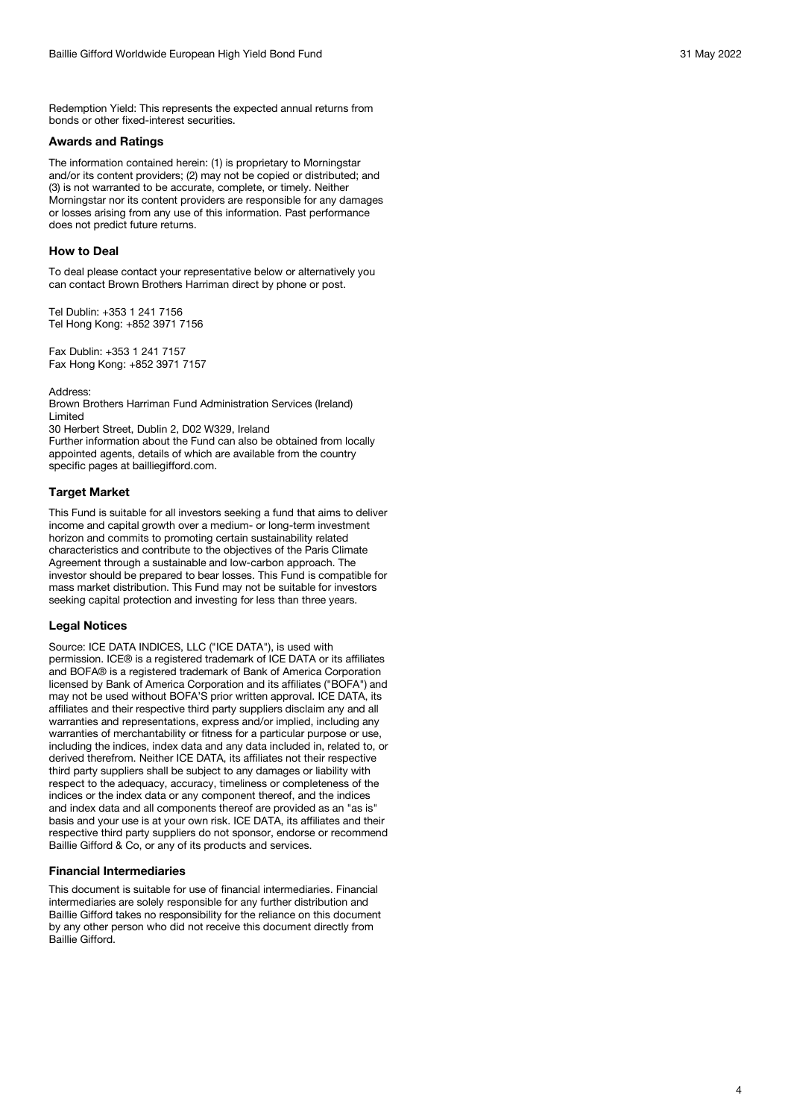Redemption Yield: This represents the expected annual returns from bonds or other fixed-interest securities.

#### **Awards and Ratings**

The information contained herein: (1) is proprietary to Morningstar and/or its content providers; (2) may not be copied or distributed; and (3) is not warranted to be accurate, complete, or timely. Neither Morningstar nor its content providers are responsible for any damages or losses arising from any use of this information. Past performance does not predict future returns.

#### **How to Deal**

To deal please contact your representative below or alternatively you can contact Brown Brothers Harriman direct by phone or post.

Tel Dublin: +353 1 241 7156 Tel Hong Kong: +852 3971 7156

Fax Dublin: +353 1 241 7157 Fax Hong Kong: +852 3971 7157

Address:

Brown Brothers Harriman Fund Administration Services (Ireland) Limited

30 Herbert Street, Dublin 2, D02 W329, Ireland Further information about the Fund can also be obtained from locally appointed agents, details of which are available from the country specific pages at bailliegifford.com.

#### **Target Market**

This Fund is suitable for all investors seeking a fund that aims to deliver income and capital growth over a medium- or long-term investment horizon and commits to promoting certain sustainability related characteristics and contribute to the objectives of the Paris Climate Agreement through a sustainable and low-carbon approach. The investor should be prepared to bear losses. This Fund is compatible for mass market distribution. This Fund may not be suitable for investors seeking capital protection and investing for less than three years.

#### **Legal Notices**

Source: ICE DATA INDICES, LLC ("ICE DATA"), is used with permission. ICE® is a registered trademark of ICE DATA or its affiliates and BOFA® is a registered trademark of Bank of America Corporation licensed by Bank of America Corporation and its affiliates ("BOFA") and may not be used without BOFA'S prior written approval. ICE DATA, its affiliates and their respective third party suppliers disclaim any and all warranties and representations, express and/or implied, including any warranties of merchantability or fitness for a particular purpose or use, including the indices, index data and any data included in, related to, or derived therefrom. Neither ICE DATA, its affiliates not their respective third party suppliers shall be subject to any damages or liability with respect to the adequacy, accuracy, timeliness or completeness of the indices or the index data or any component thereof, and the indices and index data and all components thereof are provided as an "as is" basis and your use is at your own risk. ICE DATA, its affiliates and their respective third party suppliers do not sponsor, endorse or recommend Baillie Gifford & Co, or any of its products and services.

#### **Financial Intermediaries**

This document is suitable for use of financial intermediaries. Financial intermediaries are solely responsible for any further distribution and Baillie Gifford takes no responsibility for the reliance on this document by any other person who did not receive this document directly from Baillie Gifford.